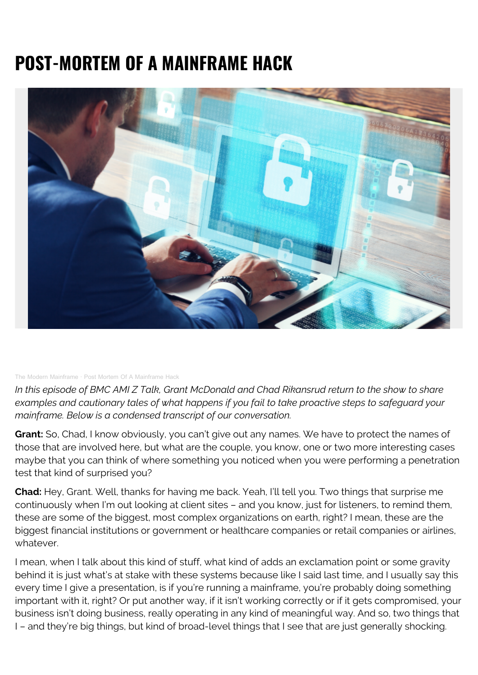## **POST-MORTEM OF A MAINFRAME HACK**



## [The Modern Mainframe](https://soundcloud.com/modernmainframe) · [Post Mortem Of A Mainframe Hack](https://soundcloud.com/modernmainframe/mainframe-hack-post-mortem)

*In this episode of BMC AMI Z Talk, Grant McDonald and Chad Rikansrud return to the show to share examples and cautionary tales of what happens if you fail to take proactive steps to safeguard your mainframe. Below is a condensed transcript of our conversation.*

**Grant:** So, Chad, I know obviously, you can't give out any names. We have to protect the names of those that are involved here, but what are the couple, you know, one or two more interesting cases maybe that you can think of where something you noticed when you were performing a penetration test that kind of surprised you?

**Chad:** Hey, Grant. Well, thanks for having me back. Yeah, I'll tell you. Two things that surprise me continuously when I'm out looking at client sites – and you know, just for listeners, to remind them, these are some of the biggest, most complex organizations on earth, right? I mean, these are the biggest financial institutions or government or healthcare companies or retail companies or airlines, whatever.

I mean, when I talk about this kind of stuff, what kind of adds an exclamation point or some gravity behind it is just what's at stake with these systems because like I said last time, and I usually say this every time I give a presentation, is if you're running a mainframe, you're probably doing something important with it, right? Or put another way, if it isn't working correctly or if it gets compromised, your business isn't doing business, really operating in any kind of meaningful way. And so, two things that I – and they're big things, but kind of broad-level things that I see that are just generally shocking.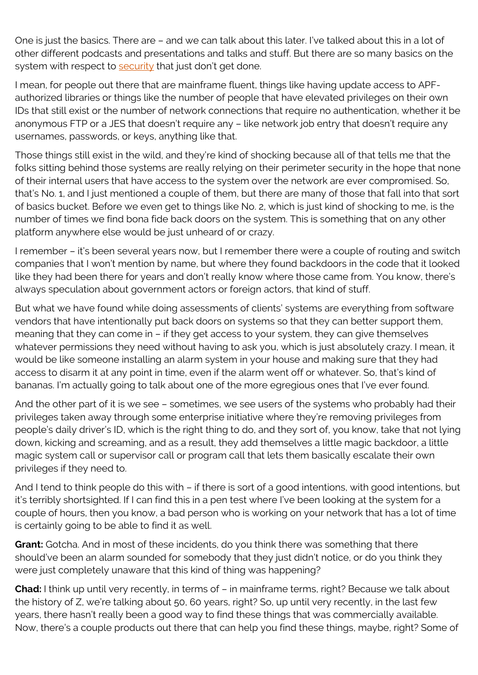One is just the basics. There are – and we can talk about this later. I've talked about this in a lot of other different podcasts and presentations and talks and stuff. But there are so many basics on the system with respect to [security](https://blogs.bmc.com/blogs/security-vulnerability-vs-threat-vs-risk-whats-difference/) that just don't get done.

I mean, for people out there that are mainframe fluent, things like having update access to APFauthorized libraries or things like the number of people that have elevated privileges on their own IDs that still exist or the number of network connections that require no authentication, whether it be anonymous FTP or a JES that doesn't require any – like network job entry that doesn't require any usernames, passwords, or keys, anything like that.

Those things still exist in the wild, and they're kind of shocking because all of that tells me that the folks sitting behind those systems are really relying on their perimeter security in the hope that none of their internal users that have access to the system over the network are ever compromised. So, that's No. 1, and I just mentioned a couple of them, but there are many of those that fall into that sort of basics bucket. Before we even get to things like No. 2, which is just kind of shocking to me, is the number of times we find bona fide back doors on the system. This is something that on any other platform anywhere else would be just unheard of or crazy.

I remember – it's been several years now, but I remember there were a couple of routing and switch companies that I won't mention by name, but where they found backdoors in the code that it looked like they had been there for years and don't really know where those came from. You know, there's always speculation about government actors or foreign actors, that kind of stuff.

But what we have found while doing assessments of clients' systems are everything from software vendors that have intentionally put back doors on systems so that they can better support them, meaning that they can come in – if they get access to your system, they can give themselves whatever permissions they need without having to ask you, which is just absolutely crazy. I mean, it would be like someone installing an alarm system in your house and making sure that they had access to disarm it at any point in time, even if the alarm went off or whatever. So, that's kind of bananas. I'm actually going to talk about one of the more egregious ones that I've ever found.

And the other part of it is we see – sometimes, we see users of the systems who probably had their privileges taken away through some enterprise initiative where they're removing privileges from people's daily driver's ID, which is the right thing to do, and they sort of, you know, take that not lying down, kicking and screaming, and as a result, they add themselves a little magic backdoor, a little magic system call or supervisor call or program call that lets them basically escalate their own privileges if they need to.

And I tend to think people do this with – if there is sort of a good intentions, with good intentions, but it's terribly shortsighted. If I can find this in a pen test where I've been looking at the system for a couple of hours, then you know, a bad person who is working on your network that has a lot of time is certainly going to be able to find it as well.

**Grant:** Gotcha. And in most of these incidents, do you think there was something that there should've been an alarm sounded for somebody that they just didn't notice, or do you think they were just completely unaware that this kind of thing was happening?

**Chad:** I think up until very recently, in terms of – in mainframe terms, right? Because we talk about the history of Z, we're talking about 50, 60 years, right? So, up until very recently, in the last few years, there hasn't really been a good way to find these things that was commercially available. Now, there's a couple products out there that can help you find these things, maybe, right? Some of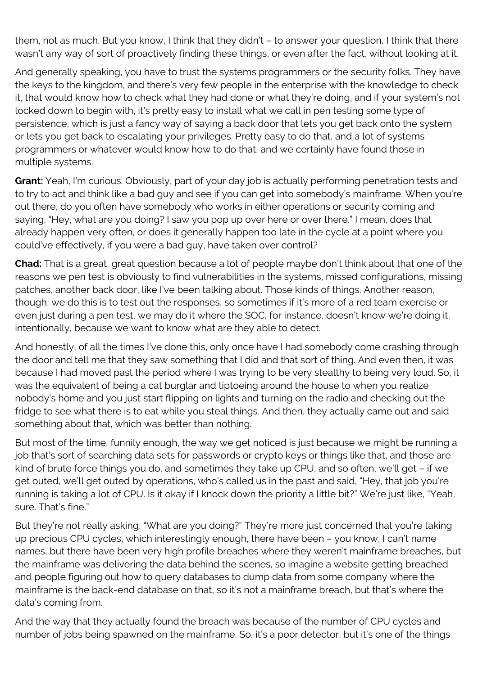them, not as much. But you know, I think that they didn't – to answer your question, I think that there wasn't any way of sort of proactively finding these things, or even after the fact, without looking at it.

And generally speaking, you have to trust the systems programmers or the security folks. They have the keys to the kingdom, and there's very few people in the enterprise with the knowledge to check it, that would know how to check what they had done or what they're doing, and if your system's not locked down to begin with, it's pretty easy to install what we call in pen testing some type of persistence, which is just a fancy way of saying a back door that lets you get back onto the system or lets you get back to escalating your privileges. Pretty easy to do that, and a lot of systems programmers or whatever would know how to do that, and we certainly have found those in multiple systems.

**Grant:** Yeah, I'm curious. Obviously, part of your day job is actually performing penetration tests and to try to act and think like a bad guy and see if you can get into somebody's mainframe. When you're out there, do you often have somebody who works in either operations or security coming and saying, "Hey, what are you doing? I saw you pop up over here or over there." I mean, does that already happen very often, or does it generally happen too late in the cycle at a point where you could've effectively, if you were a bad guy, have taken over control?

**Chad:** That is a great, great question because a lot of people maybe don't think about that one of the reasons we pen test is obviously to find vulnerabilities in the systems, missed configurations, missing patches, another back door, like I've been talking about. Those kinds of things. Another reason, though, we do this is to test out the responses, so sometimes if it's more of a red team exercise or even just during a pen test, we may do it where the SOC, for instance, doesn't know we're doing it, intentionally, because we want to know what are they able to detect.

And honestly, of all the times I've done this, only once have I had somebody come crashing through the door and tell me that they saw something that I did and that sort of thing. And even then, it was because I had moved past the period where I was trying to be very stealthy to being very loud. So, it was the equivalent of being a cat burglar and tiptoeing around the house to when you realize nobody's home and you just start flipping on lights and turning on the radio and checking out the fridge to see what there is to eat while you steal things. And then, they actually came out and said something about that, which was better than nothing.

But most of the time, funnily enough, the way we get noticed is just because we might be running a job that's sort of searching data sets for passwords or crypto keys or things like that, and those are kind of brute force things you do, and sometimes they take up CPU, and so often, we'll get – if we get outed, we'll get outed by operations, who's called us in the past and said, "Hey, that job you're running is taking a lot of CPU. Is it okay if I knock down the priority a little bit?" We're just like, "Yeah, sure. That's fine."

But they're not really asking, "What are you doing?" They're more just concerned that you're taking up precious CPU cycles, which interestingly enough, there have been – you know, I can't name names, but there have been very high profile breaches where they weren't mainframe breaches, but the mainframe was delivering the data behind the scenes, so imagine a website getting breached and people figuring out how to query databases to dump data from some company where the mainframe is the back-end database on that, so it's not a mainframe breach, but that's where the data's coming from.

And the way that they actually found the breach was because of the number of CPU cycles and number of jobs being spawned on the mainframe. So, it's a poor detector, but it's one of the things